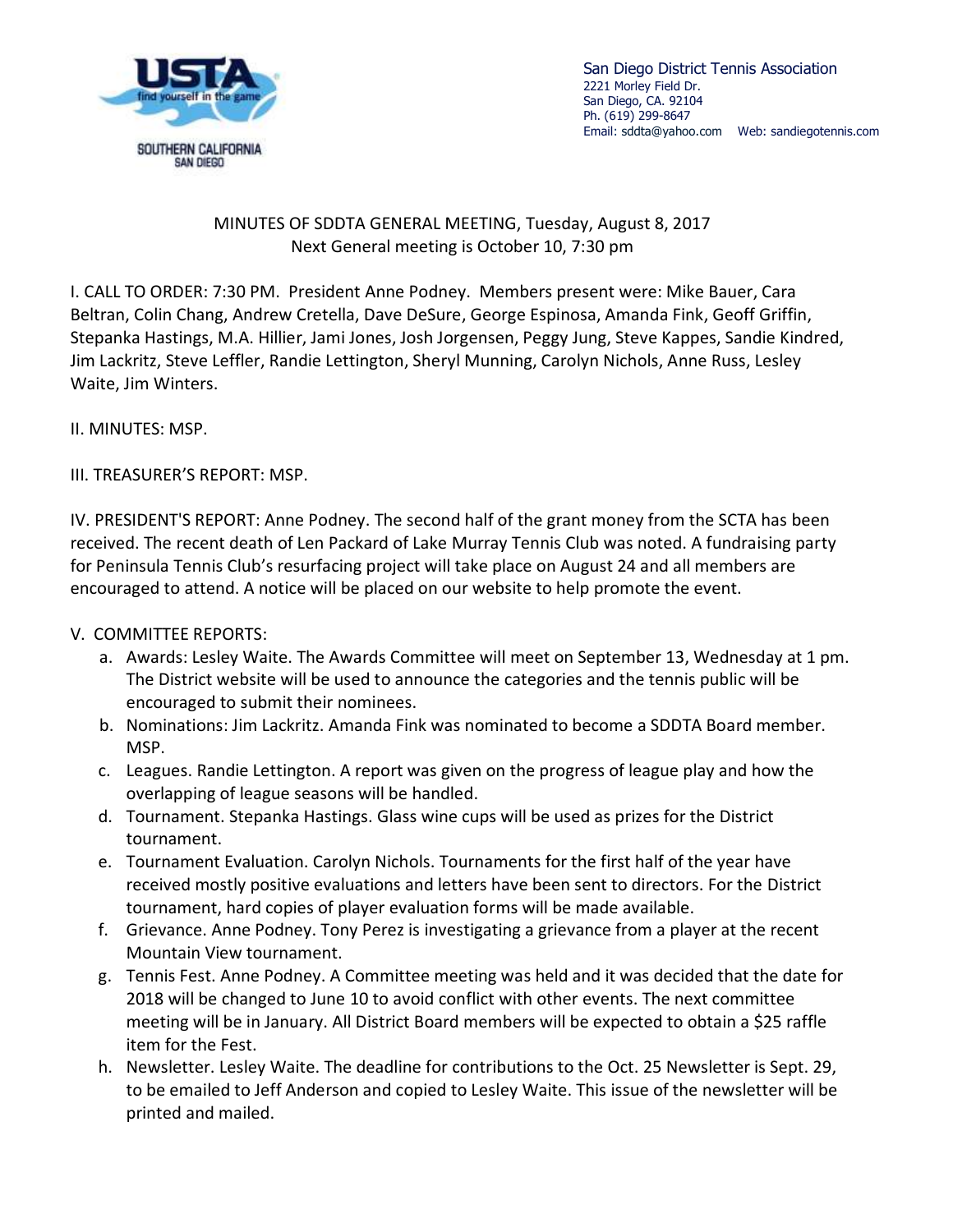

San Diego District Tennis Association 2221 Morley Field Dr. San Diego, CA. 92104 Ph. (619) 299-8647 Email[: sddta@yahoo.com](mailto:sddta@yahoo.com) Web: sandiegotennis.com

## MINUTES OF SDDTA GENERAL MEETING, Tuesday, August 8, 2017 Next General meeting is October 10, 7:30 pm

I. CALL TO ORDER: 7:30 PM. President Anne Podney. Members present were: Mike Bauer, Cara Beltran, Colin Chang, Andrew Cretella, Dave DeSure, George Espinosa, Amanda Fink, Geoff Griffin, Stepanka Hastings, M.A. Hillier, Jami Jones, Josh Jorgensen, Peggy Jung, Steve Kappes, Sandie Kindred, Jim Lackritz, Steve Leffler, Randie Lettington, Sheryl Munning, Carolyn Nichols, Anne Russ, Lesley Waite, Jim Winters.

II. MINUTES: MSP.

III. TREASURER'S REPORT: MSP.

IV. PRESIDENT'S REPORT: Anne Podney. The second half of the grant money from the SCTA has been received. The recent death of Len Packard of Lake Murray Tennis Club was noted. A fundraising party for Peninsula Tennis Club's resurfacing project will take place on August 24 and all members are encouraged to attend. A notice will be placed on our website to help promote the event.

## V. COMMITTEE REPORTS:

- a. Awards: Lesley Waite. The Awards Committee will meet on September 13, Wednesday at 1 pm. The District website will be used to announce the categories and the tennis public will be encouraged to submit their nominees.
- b. Nominations: Jim Lackritz. Amanda Fink was nominated to become a SDDTA Board member. MSP.
- c. Leagues. Randie Lettington. A report was given on the progress of league play and how the overlapping of league seasons will be handled.
- d. Tournament. Stepanka Hastings. Glass wine cups will be used as prizes for the District tournament.
- e. Tournament Evaluation. Carolyn Nichols. Tournaments for the first half of the year have received mostly positive evaluations and letters have been sent to directors. For the District tournament, hard copies of player evaluation forms will be made available.
- f. Grievance. Anne Podney. Tony Perez is investigating a grievance from a player at the recent Mountain View tournament.
- g. Tennis Fest. Anne Podney. A Committee meeting was held and it was decided that the date for 2018 will be changed to June 10 to avoid conflict with other events. The next committee meeting will be in January. All District Board members will be expected to obtain a \$25 raffle item for the Fest.
- h. Newsletter. Lesley Waite. The deadline for contributions to the Oct. 25 Newsletter is Sept. 29, to be emailed to Jeff Anderson and copied to Lesley Waite. This issue of the newsletter will be printed and mailed.